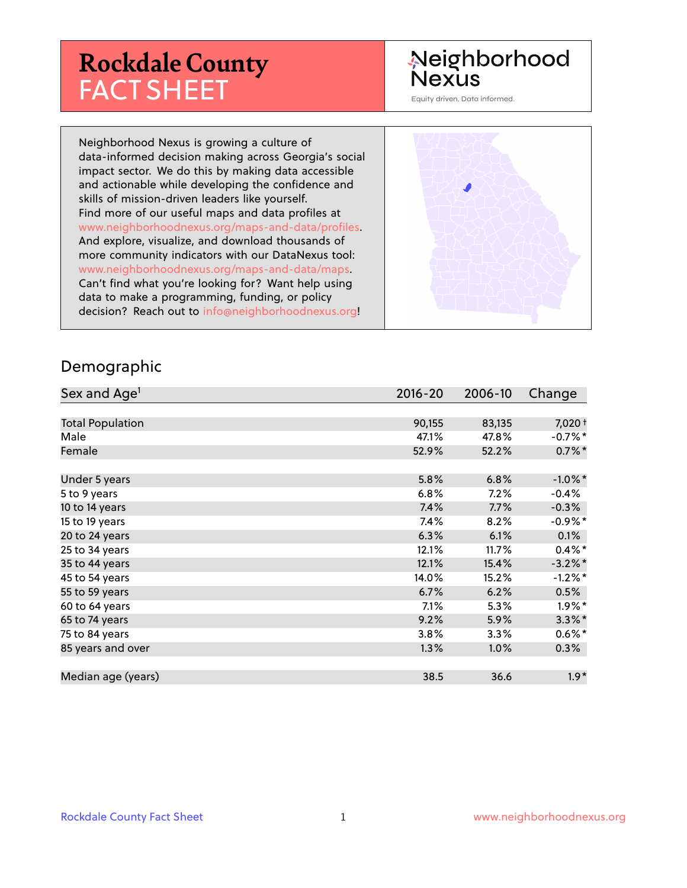# **Rockdale County** FACT SHEET

## Neighborhood **Nexus**

Equity driven. Data informed.

Neighborhood Nexus is growing a culture of data-informed decision making across Georgia's social impact sector. We do this by making data accessible and actionable while developing the confidence and skills of mission-driven leaders like yourself. Find more of our useful maps and data profiles at www.neighborhoodnexus.org/maps-and-data/profiles. And explore, visualize, and download thousands of more community indicators with our DataNexus tool: www.neighborhoodnexus.org/maps-and-data/maps. Can't find what you're looking for? Want help using data to make a programming, funding, or policy decision? Reach out to [info@neighborhoodnexus.org!](mailto:info@neighborhoodnexus.org)



#### Demographic

| Sex and Age <sup>1</sup> | $2016 - 20$ | 2006-10 | Change     |
|--------------------------|-------------|---------|------------|
|                          |             |         |            |
| <b>Total Population</b>  | 90,155      | 83,135  | $7,020+$   |
| Male                     | 47.1%       | 47.8%   | $-0.7%$ *  |
| Female                   | 52.9%       | 52.2%   | $0.7\%$ *  |
|                          |             |         |            |
| Under 5 years            | 5.8%        | 6.8%    | $-1.0\%$ * |
| 5 to 9 years             | 6.8%        | 7.2%    | $-0.4%$    |
| 10 to 14 years           | 7.4%        | 7.7%    | $-0.3\%$   |
| 15 to 19 years           | 7.4%        | 8.2%    | $-0.9\%$ * |
| 20 to 24 years           | 6.3%        | 6.1%    | 0.1%       |
| 25 to 34 years           | 12.1%       | 11.7%   | $0.4\%$ *  |
| 35 to 44 years           | 12.1%       | 15.4%   | $-3.2\%$ * |
| 45 to 54 years           | 14.0%       | 15.2%   | $-1.2\%$ * |
| 55 to 59 years           | 6.7%        | 6.2%    | 0.5%       |
| 60 to 64 years           | 7.1%        | 5.3%    | $1.9\%$ *  |
| 65 to 74 years           | 9.2%        | 5.9%    | $3.3\%$ *  |
| 75 to 84 years           | 3.8%        | 3.3%    | $0.6\%$ *  |
| 85 years and over        | 1.3%        | 1.0%    | $0.3\%$    |
|                          |             |         |            |
| Median age (years)       | 38.5        | 36.6    | $1.9*$     |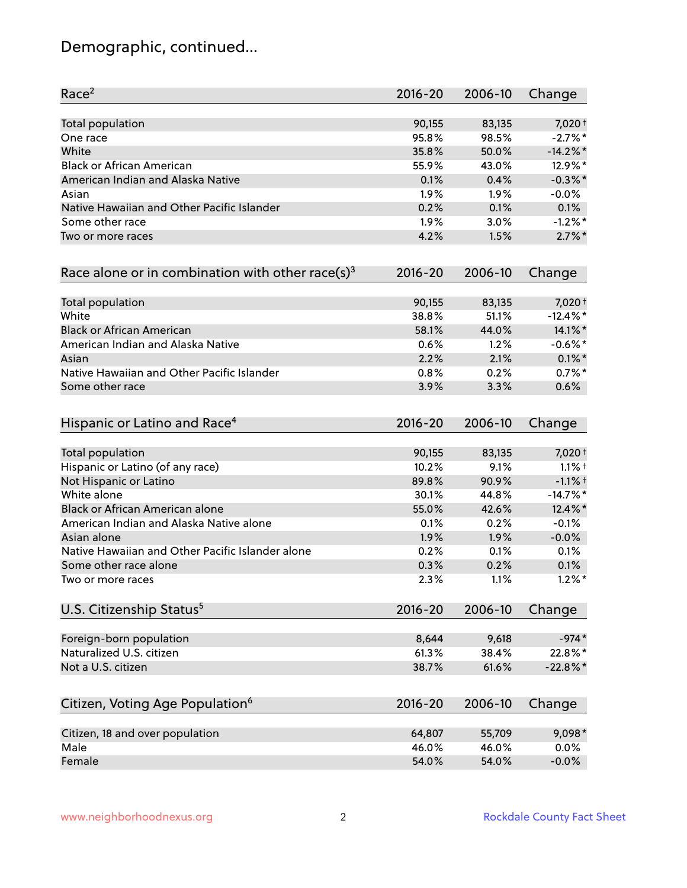## Demographic, continued...

| Race <sup>2</sup>                                            | $2016 - 20$ | 2006-10 | Change      |
|--------------------------------------------------------------|-------------|---------|-------------|
| <b>Total population</b>                                      | 90,155      | 83,135  | 7,020 +     |
| One race                                                     | 95.8%       | 98.5%   | $-2.7%$ *   |
| White                                                        | 35.8%       | 50.0%   | $-14.2\%$ * |
| <b>Black or African American</b>                             | 55.9%       | 43.0%   | 12.9%*      |
| American Indian and Alaska Native                            | 0.1%        | 0.4%    | $-0.3\%$ *  |
| Asian                                                        | 1.9%        | 1.9%    | $-0.0%$     |
| Native Hawaiian and Other Pacific Islander                   | 0.2%        | 0.1%    | 0.1%        |
| Some other race                                              | 1.9%        | 3.0%    | $-1.2%$ *   |
| Two or more races                                            | 4.2%        | 1.5%    | $2.7\%$ *   |
| Race alone or in combination with other race(s) <sup>3</sup> | $2016 - 20$ | 2006-10 | Change      |
| Total population                                             | 90,155      | 83,135  | 7,020 +     |
| White                                                        | 38.8%       | 51.1%   | $-12.4\%$ * |
| <b>Black or African American</b>                             | 58.1%       | 44.0%   | 14.1%*      |
| American Indian and Alaska Native                            | 0.6%        | 1.2%    | $-0.6%$ *   |
| Asian                                                        | 2.2%        | 2.1%    | $0.1\%$ *   |
| Native Hawaiian and Other Pacific Islander                   | 0.8%        | 0.2%    | $0.7%$ *    |
| Some other race                                              | 3.9%        | 3.3%    | 0.6%        |
| Hispanic or Latino and Race <sup>4</sup>                     | $2016 - 20$ | 2006-10 | Change      |
| Total population                                             | 90,155      | 83,135  | 7,020 +     |
| Hispanic or Latino (of any race)                             | 10.2%       | 9.1%    | $1.1%$ †    |
| Not Hispanic or Latino                                       | 89.8%       | 90.9%   | $-1.1%$ +   |
| White alone                                                  | 30.1%       | 44.8%   | $-14.7%$ *  |
| Black or African American alone                              | 55.0%       | 42.6%   | 12.4%*      |
| American Indian and Alaska Native alone                      | 0.1%        | 0.2%    | $-0.1%$     |
| Asian alone                                                  | 1.9%        | 1.9%    | $-0.0\%$    |
| Native Hawaiian and Other Pacific Islander alone             | 0.2%        | 0.1%    | 0.1%        |
| Some other race alone                                        | 0.3%        | 0.2%    | 0.1%        |
| Two or more races                                            | 2.3%        | 1.1%    | $1.2\%$ *   |
| U.S. Citizenship Status <sup>5</sup>                         | $2016 - 20$ | 2006-10 | Change      |
| Foreign-born population                                      | 8,644       | 9,618   | $-974*$     |
| Naturalized U.S. citizen                                     | 61.3%       | 38.4%   | 22.8%*      |
| Not a U.S. citizen                                           | 38.7%       | 61.6%   | $-22.8%$ *  |
| Citizen, Voting Age Population <sup>6</sup>                  | $2016 - 20$ | 2006-10 |             |
|                                                              |             |         | Change      |
| Citizen, 18 and over population                              | 64,807      | 55,709  | 9,098*      |
| Male                                                         | 46.0%       | 46.0%   | 0.0%        |
| Female                                                       | 54.0%       | 54.0%   | $-0.0%$     |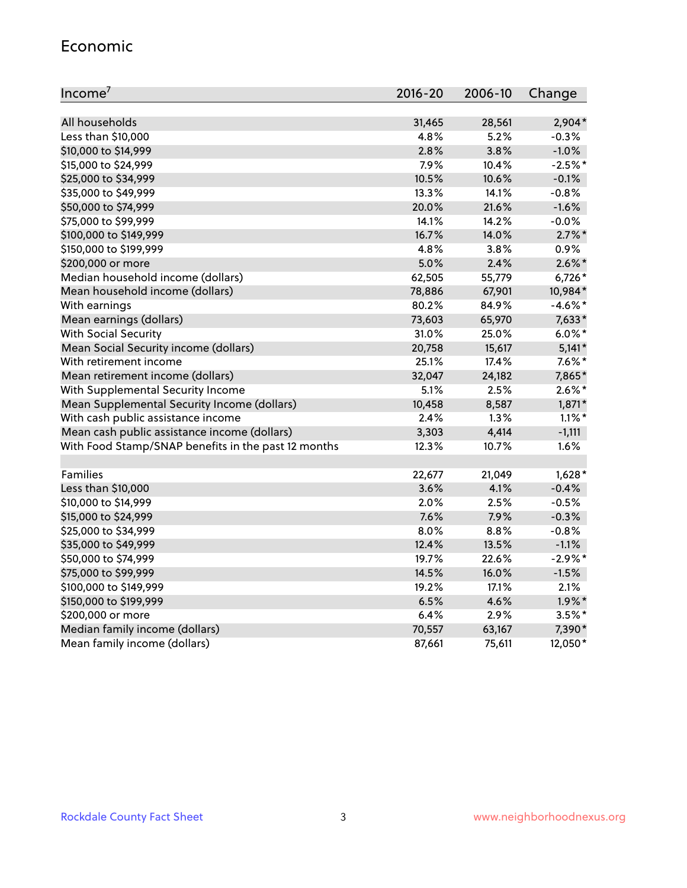### Economic

| Income <sup>7</sup>                                 | $2016 - 20$ | 2006-10 | Change     |
|-----------------------------------------------------|-------------|---------|------------|
|                                                     |             |         |            |
| All households                                      | 31,465      | 28,561  | $2,904*$   |
| Less than \$10,000                                  | 4.8%        | 5.2%    | $-0.3%$    |
| \$10,000 to \$14,999                                | 2.8%        | 3.8%    | $-1.0%$    |
| \$15,000 to \$24,999                                | 7.9%        | 10.4%   | $-2.5%$ *  |
| \$25,000 to \$34,999                                | 10.5%       | 10.6%   | $-0.1%$    |
| \$35,000 to \$49,999                                | 13.3%       | 14.1%   | $-0.8%$    |
| \$50,000 to \$74,999                                | 20.0%       | 21.6%   | $-1.6%$    |
| \$75,000 to \$99,999                                | 14.1%       | 14.2%   | $-0.0%$    |
| \$100,000 to \$149,999                              | 16.7%       | 14.0%   | $2.7\%$ *  |
| \$150,000 to \$199,999                              | 4.8%        | 3.8%    | 0.9%       |
| \$200,000 or more                                   | 5.0%        | 2.4%    | $2.6\%$ *  |
| Median household income (dollars)                   | 62,505      | 55,779  | 6,726*     |
| Mean household income (dollars)                     | 78,886      | 67,901  | 10,984*    |
| With earnings                                       | 80.2%       | 84.9%   | $-4.6\%$ * |
| Mean earnings (dollars)                             | 73,603      | 65,970  | $7,633*$   |
| <b>With Social Security</b>                         | 31.0%       | 25.0%   | $6.0\%$ *  |
| Mean Social Security income (dollars)               | 20,758      | 15,617  | $5,141*$   |
| With retirement income                              | 25.1%       | 17.4%   | $7.6\%$ *  |
| Mean retirement income (dollars)                    | 32,047      | 24,182  | 7,865*     |
| With Supplemental Security Income                   | 5.1%        | 2.5%    | $2.6\%$ *  |
| Mean Supplemental Security Income (dollars)         | 10,458      | 8,587   | $1,871*$   |
| With cash public assistance income                  | 2.4%        | 1.3%    | $1.1\%$ *  |
| Mean cash public assistance income (dollars)        | 3,303       | 4,414   | $-1,111$   |
| With Food Stamp/SNAP benefits in the past 12 months | 12.3%       | 10.7%   | 1.6%       |
|                                                     |             |         |            |
| Families                                            | 22,677      | 21,049  | $1,628*$   |
| Less than \$10,000                                  | 3.6%        | 4.1%    | $-0.4%$    |
| \$10,000 to \$14,999                                | 2.0%        | 2.5%    | $-0.5%$    |
| \$15,000 to \$24,999                                | 7.6%        | 7.9%    | $-0.3%$    |
| \$25,000 to \$34,999                                | 8.0%        | 8.8%    | $-0.8%$    |
| \$35,000 to \$49,999                                | 12.4%       | 13.5%   | $-1.1%$    |
| \$50,000 to \$74,999                                | 19.7%       | 22.6%   | $-2.9%$ *  |
| \$75,000 to \$99,999                                | 14.5%       | 16.0%   | $-1.5%$    |
| \$100,000 to \$149,999                              | 19.2%       | 17.1%   | 2.1%       |
| \$150,000 to \$199,999                              | 6.5%        | 4.6%    | $1.9\%$ *  |
| \$200,000 or more                                   | 6.4%        | 2.9%    | $3.5\%$ *  |
| Median family income (dollars)                      | 70,557      | 63,167  | 7,390*     |
| Mean family income (dollars)                        | 87,661      | 75,611  | 12,050*    |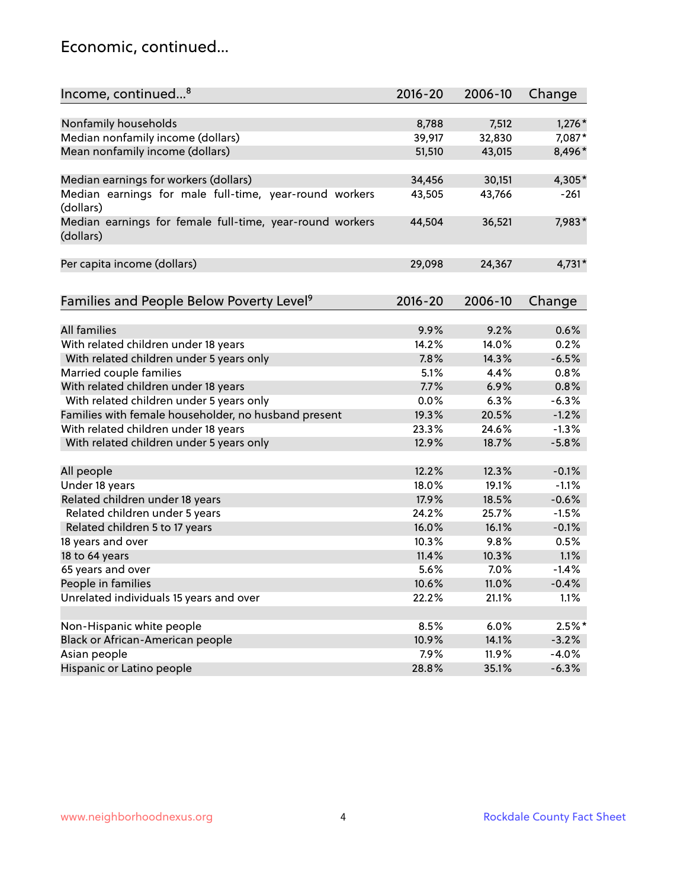## Economic, continued...

| Income, continued <sup>8</sup>                                        | $2016 - 20$ | 2006-10 | Change   |
|-----------------------------------------------------------------------|-------------|---------|----------|
|                                                                       |             |         |          |
| Nonfamily households                                                  | 8,788       | 7,512   | $1,276*$ |
| Median nonfamily income (dollars)                                     | 39,917      | 32,830  | 7,087*   |
| Mean nonfamily income (dollars)                                       | 51,510      | 43,015  | 8,496*   |
| Median earnings for workers (dollars)                                 | 34,456      | 30,151  | 4,305*   |
| Median earnings for male full-time, year-round workers                | 43,505      | 43,766  | -261     |
| (dollars)                                                             |             |         |          |
| Median earnings for female full-time, year-round workers<br>(dollars) | 44,504      | 36,521  | 7,983*   |
| Per capita income (dollars)                                           | 29,098      | 24,367  | $4,731*$ |
|                                                                       |             |         |          |
| Families and People Below Poverty Level <sup>9</sup>                  | $2016 - 20$ | 2006-10 | Change   |
|                                                                       |             |         |          |
| <b>All families</b>                                                   | 9.9%        | 9.2%    | 0.6%     |
| With related children under 18 years                                  | 14.2%       | 14.0%   | 0.2%     |
| With related children under 5 years only                              | 7.8%        | 14.3%   | $-6.5%$  |
| Married couple families                                               | 5.1%        | 4.4%    | 0.8%     |
| With related children under 18 years                                  | 7.7%        | 6.9%    | 0.8%     |
| With related children under 5 years only                              | 0.0%        | 6.3%    | $-6.3%$  |
| Families with female householder, no husband present                  | 19.3%       | 20.5%   | $-1.2%$  |
| With related children under 18 years                                  | 23.3%       | 24.6%   | $-1.3%$  |
| With related children under 5 years only                              | 12.9%       | 18.7%   | $-5.8%$  |
| All people                                                            | 12.2%       | 12.3%   | $-0.1%$  |
| Under 18 years                                                        | 18.0%       | 19.1%   | $-1.1%$  |
| Related children under 18 years                                       | 17.9%       | 18.5%   | $-0.6%$  |
| Related children under 5 years                                        | 24.2%       | 25.7%   | $-1.5%$  |
|                                                                       | 16.0%       | 16.1%   | $-0.1%$  |
| Related children 5 to 17 years<br>18 years and over                   | 10.3%       | 9.8%    | 0.5%     |
|                                                                       |             |         |          |
| 18 to 64 years                                                        | 11.4%       | 10.3%   | 1.1%     |
| 65 years and over                                                     | 5.6%        | 7.0%    | $-1.4%$  |
| People in families                                                    | 10.6%       | 11.0%   | $-0.4%$  |
| Unrelated individuals 15 years and over                               | 22.2%       | 21.1%   | 1.1%     |
|                                                                       |             |         |          |
| Non-Hispanic white people                                             | 8.5%        | 6.0%    | $2.5%$ * |
| Black or African-American people                                      | 10.9%       | 14.1%   | $-3.2%$  |
| Asian people                                                          | 7.9%        | 11.9%   | $-4.0%$  |
| Hispanic or Latino people                                             | 28.8%       | 35.1%   | $-6.3%$  |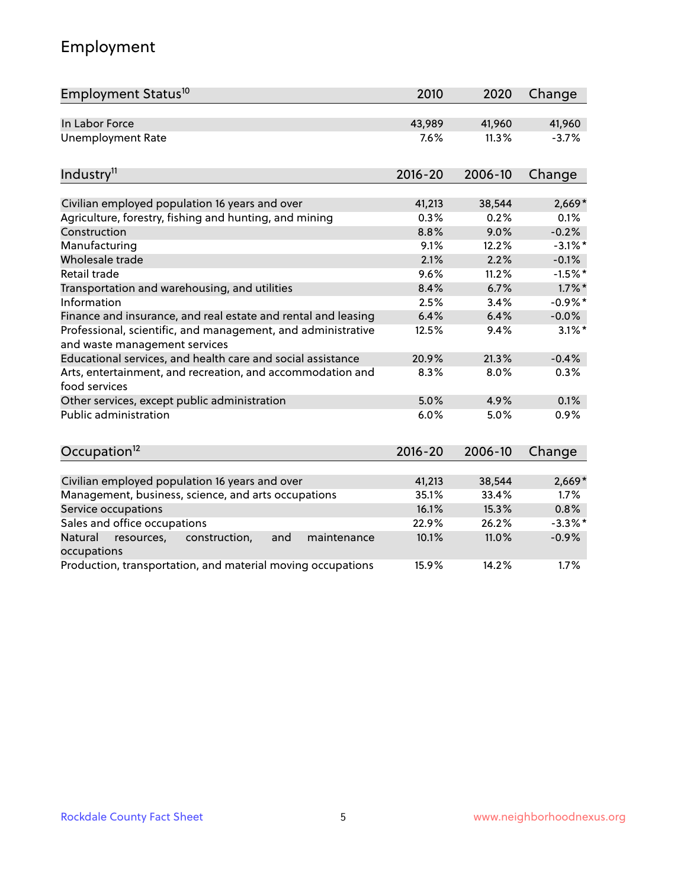## Employment

| Employment Status <sup>10</sup>                                                               | 2010        | 2020    | Change     |
|-----------------------------------------------------------------------------------------------|-------------|---------|------------|
| In Labor Force                                                                                | 43,989      | 41,960  | 41,960     |
| <b>Unemployment Rate</b>                                                                      | 7.6%        | 11.3%   | $-3.7%$    |
| Industry <sup>11</sup>                                                                        | $2016 - 20$ | 2006-10 | Change     |
| Civilian employed population 16 years and over                                                | 41,213      | 38,544  | $2,669*$   |
| Agriculture, forestry, fishing and hunting, and mining                                        | 0.3%        | 0.2%    | 0.1%       |
| Construction                                                                                  | 8.8%        | 9.0%    | $-0.2%$    |
| Manufacturing                                                                                 | 9.1%        | 12.2%   | $-3.1\%$ * |
| Wholesale trade                                                                               | 2.1%        | 2.2%    | $-0.1%$    |
| Retail trade                                                                                  | 9.6%        | 11.2%   | $-1.5%$ *  |
| Transportation and warehousing, and utilities                                                 | 8.4%        | 6.7%    | $1.7\%$ *  |
| Information                                                                                   | 2.5%        | 3.4%    | $-0.9%$ *  |
| Finance and insurance, and real estate and rental and leasing                                 | 6.4%        | 6.4%    | $-0.0%$    |
| Professional, scientific, and management, and administrative<br>and waste management services | 12.5%       | 9.4%    | $3.1\%$ *  |
| Educational services, and health care and social assistance                                   | 20.9%       | 21.3%   | $-0.4%$    |
| Arts, entertainment, and recreation, and accommodation and<br>food services                   | 8.3%        | 8.0%    | 0.3%       |
| Other services, except public administration                                                  | 5.0%        | 4.9%    | 0.1%       |
| Public administration                                                                         | 6.0%        | 5.0%    | 0.9%       |
| Occupation <sup>12</sup>                                                                      | $2016 - 20$ | 2006-10 | Change     |
|                                                                                               |             |         |            |
| Civilian employed population 16 years and over                                                | 41,213      | 38,544  | $2,669*$   |
| Management, business, science, and arts occupations                                           | 35.1%       | 33.4%   | 1.7%       |
| Service occupations                                                                           | 16.1%       | 15.3%   | 0.8%       |
| Sales and office occupations                                                                  | 22.9%       | 26.2%   | $-3.3%$ *  |
| Natural<br>and<br>resources,<br>construction,<br>maintenance<br>occupations                   | 10.1%       | 11.0%   | $-0.9%$    |
| Production, transportation, and material moving occupations                                   | 15.9%       | 14.2%   | 1.7%       |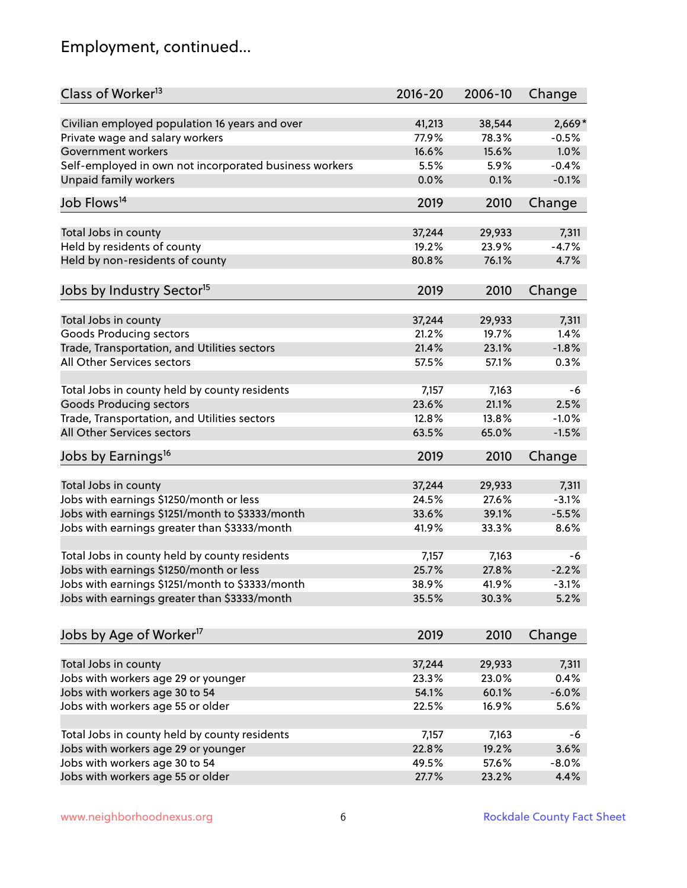## Employment, continued...

| Class of Worker <sup>13</sup>                          | $2016 - 20$     | 2006-10         | Change           |
|--------------------------------------------------------|-----------------|-----------------|------------------|
| Civilian employed population 16 years and over         | 41,213          | 38,544          | $2,669*$         |
| Private wage and salary workers                        | 77.9%           | 78.3%           | $-0.5%$          |
| Government workers                                     | 16.6%           | 15.6%           | 1.0%             |
| Self-employed in own not incorporated business workers | 5.5%            | 5.9%            | $-0.4%$          |
| <b>Unpaid family workers</b>                           | 0.0%            | 0.1%            | $-0.1%$          |
| Job Flows <sup>14</sup>                                | 2019            | 2010            | Change           |
| Total Jobs in county                                   | 37,244          | 29,933          | 7,311            |
| Held by residents of county                            | 19.2%           | 23.9%           | $-4.7%$          |
| Held by non-residents of county                        | 80.8%           | 76.1%           | 4.7%             |
|                                                        |                 |                 |                  |
| Jobs by Industry Sector <sup>15</sup>                  | 2019            | 2010            | Change           |
| Total Jobs in county                                   | 37,244          | 29,933          | 7,311            |
| <b>Goods Producing sectors</b>                         | 21.2%           | 19.7%           | 1.4%             |
| Trade, Transportation, and Utilities sectors           | 21.4%           | 23.1%           | $-1.8%$          |
| All Other Services sectors                             | 57.5%           | 57.1%           | 0.3%             |
|                                                        |                 |                 |                  |
| Total Jobs in county held by county residents          | 7,157           | 7,163           | -6               |
| <b>Goods Producing sectors</b>                         | 23.6%           | 21.1%           | 2.5%             |
| Trade, Transportation, and Utilities sectors           | 12.8%           | 13.8%           | $-1.0%$          |
| All Other Services sectors                             | 63.5%           | 65.0%           | $-1.5%$          |
| Jobs by Earnings <sup>16</sup>                         | 2019            | 2010            | Change           |
|                                                        |                 |                 |                  |
| Total Jobs in county                                   | 37,244<br>24.5% | 29,933<br>27.6% | 7,311<br>$-3.1%$ |
| Jobs with earnings \$1250/month or less                | 33.6%           |                 |                  |
| Jobs with earnings \$1251/month to \$3333/month        |                 | 39.1%           | $-5.5%$          |
| Jobs with earnings greater than \$3333/month           | 41.9%           | 33.3%           | 8.6%             |
| Total Jobs in county held by county residents          | 7,157           | 7,163           | -6               |
| Jobs with earnings \$1250/month or less                | 25.7%           | 27.8%           | $-2.2%$          |
| Jobs with earnings \$1251/month to \$3333/month        | 38.9%           | 41.9%           | $-3.1%$          |
| Jobs with earnings greater than \$3333/month           | 35.5%           | 30.3%           | 5.2%             |
| Jobs by Age of Worker <sup>17</sup>                    | 2019            | 2010            | Change           |
|                                                        |                 |                 |                  |
| Total Jobs in county                                   | 37,244          | 29,933          | 7,311            |
| Jobs with workers age 29 or younger                    | 23.3%           | 23.0%           | 0.4%             |
| Jobs with workers age 30 to 54                         | 54.1%           | 60.1%           | $-6.0%$          |
| Jobs with workers age 55 or older                      | 22.5%           | 16.9%           | 5.6%             |
|                                                        |                 |                 |                  |
| Total Jobs in county held by county residents          | 7,157           | 7,163           | -6               |
| Jobs with workers age 29 or younger                    | 22.8%           | 19.2%           | 3.6%             |
| Jobs with workers age 30 to 54                         | 49.5%           | 57.6%           | $-8.0%$          |
| Jobs with workers age 55 or older                      | 27.7%           | 23.2%           | 4.4%             |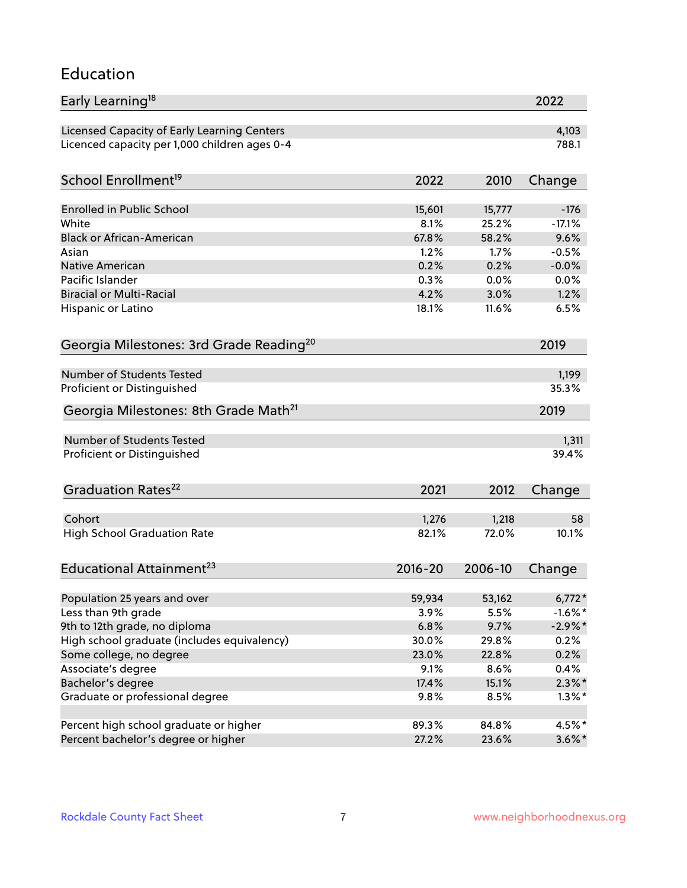### Education

| Early Learning <sup>18</sup>                        |              |         | 2022      |
|-----------------------------------------------------|--------------|---------|-----------|
| Licensed Capacity of Early Learning Centers         |              |         | 4,103     |
| Licenced capacity per 1,000 children ages 0-4       |              |         | 788.1     |
| School Enrollment <sup>19</sup>                     | 2022         | 2010    | Change    |
|                                                     |              |         |           |
| Enrolled in Public School                           | 15,601       | 15,777  | $-176$    |
| White                                               | 8.1%         | 25.2%   | $-17.1%$  |
| <b>Black or African-American</b>                    | 67.8%        | 58.2%   | 9.6%      |
| Asian                                               | 1.2%         | 1.7%    | $-0.5%$   |
| Native American                                     | 0.2%         | 0.2%    | $-0.0%$   |
| Pacific Islander                                    | 0.3%         | 0.0%    | 0.0%      |
| <b>Biracial or Multi-Racial</b>                     | 4.2%         | 3.0%    | 1.2%      |
| Hispanic or Latino                                  | 18.1%        | 11.6%   | 6.5%      |
| Georgia Milestones: 3rd Grade Reading <sup>20</sup> |              |         | 2019      |
|                                                     |              |         |           |
| <b>Number of Students Tested</b>                    |              |         | 1,199     |
| Proficient or Distinguished                         |              |         | 35.3%     |
| Georgia Milestones: 8th Grade Math <sup>21</sup>    |              |         | 2019      |
| Number of Students Tested                           |              |         | 1,311     |
| Proficient or Distinguished                         |              |         | 39.4%     |
|                                                     |              |         |           |
| Graduation Rates <sup>22</sup>                      | 2021         | 2012    | Change    |
| Cohort                                              | 1,276        | 1,218   | 58        |
| <b>High School Graduation Rate</b>                  | 82.1%        | 72.0%   | 10.1%     |
|                                                     |              |         |           |
| Educational Attainment <sup>23</sup>                | $2016 - 20$  | 2006-10 | Change    |
|                                                     |              |         |           |
| Population 25 years and over                        | 59,934       | 53,162  | $6,772*$  |
| Less than 9th grade                                 | 3.9%<br>6.8% | 5.5%    | $-1.6%$ * |
| 9th to 12th grade, no diploma                       |              | 9.7%    | $-2.9%$ * |
| High school graduate (includes equivalency)         | 30.0%        | 29.8%   | 0.2%      |
| Some college, no degree                             | 23.0%        | 22.8%   | 0.2%      |
| Associate's degree                                  | 9.1%         | 8.6%    | 0.4%      |
| Bachelor's degree                                   | 17.4%        | 15.1%   | $2.3\%$ * |
| Graduate or professional degree                     | 9.8%         | 8.5%    | $1.3\%$ * |
| Percent high school graduate or higher              | 89.3%        | 84.8%   | 4.5%*     |
| Percent bachelor's degree or higher                 | 27.2%        | 23.6%   | $3.6\%$ * |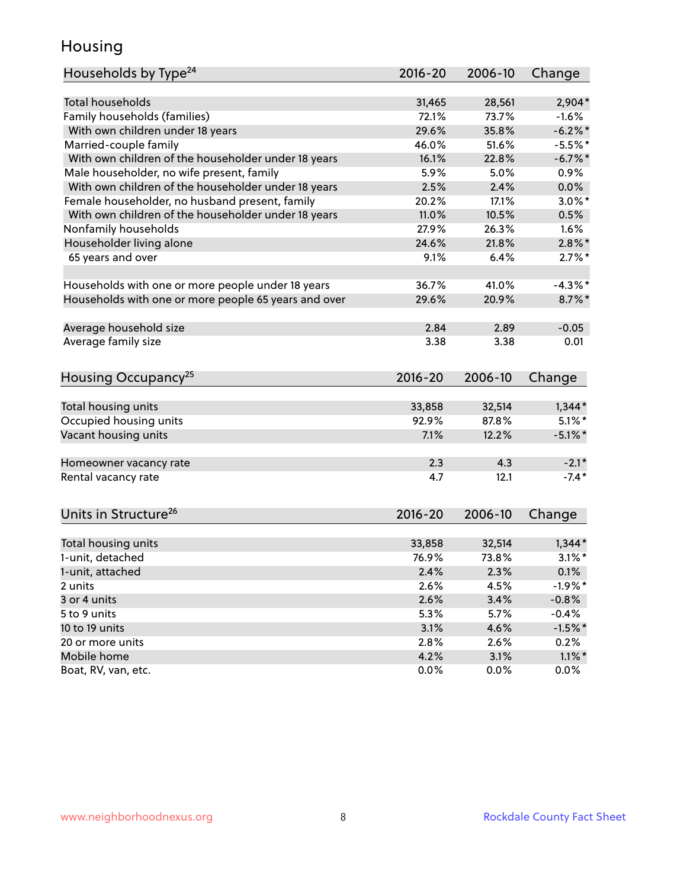## Housing

| Households by Type <sup>24</sup>                     | 2016-20     | 2006-10 | Change     |
|------------------------------------------------------|-------------|---------|------------|
|                                                      |             |         |            |
| <b>Total households</b>                              | 31,465      | 28,561  | $2,904*$   |
| Family households (families)                         | 72.1%       | 73.7%   | $-1.6%$    |
| With own children under 18 years                     | 29.6%       | 35.8%   | $-6.2\%$ * |
| Married-couple family                                | 46.0%       | 51.6%   | $-5.5%$ *  |
| With own children of the householder under 18 years  | 16.1%       | 22.8%   | $-6.7\%$ * |
| Male householder, no wife present, family            | 5.9%        | 5.0%    | 0.9%       |
| With own children of the householder under 18 years  | 2.5%        | 2.4%    | 0.0%       |
| Female householder, no husband present, family       | 20.2%       | 17.1%   | $3.0\%$ *  |
| With own children of the householder under 18 years  | 11.0%       | 10.5%   | 0.5%       |
| Nonfamily households                                 | 27.9%       | 26.3%   | 1.6%       |
| Householder living alone                             | 24.6%       | 21.8%   | $2.8\%$ *  |
| 65 years and over                                    | 9.1%        | 6.4%    | $2.7\%$ *  |
| Households with one or more people under 18 years    | 36.7%       | 41.0%   | $-4.3\%$ * |
| Households with one or more people 65 years and over | 29.6%       | 20.9%   | $8.7\%$ *  |
|                                                      |             |         |            |
| Average household size                               | 2.84        | 2.89    | $-0.05$    |
| Average family size                                  | 3.38        | 3.38    | 0.01       |
| Housing Occupancy <sup>25</sup>                      | $2016 - 20$ | 2006-10 | Change     |
|                                                      |             |         |            |
| Total housing units                                  | 33,858      | 32,514  | $1,344*$   |
| Occupied housing units                               | 92.9%       | 87.8%   | $5.1\%$ *  |
| Vacant housing units                                 | 7.1%        | 12.2%   | $-5.1\%$ * |
| Homeowner vacancy rate                               | 2.3         | 4.3     | $-2.1*$    |
| Rental vacancy rate                                  | 4.7         | 12.1    | $-7.4*$    |
| Units in Structure <sup>26</sup>                     | $2016 - 20$ | 2006-10 | Change     |
| Total housing units                                  | 33,858      | 32,514  | $1,344*$   |
| 1-unit, detached                                     | 76.9%       | 73.8%   | $3.1\%$ *  |
| 1-unit, attached                                     | 2.4%        | 2.3%    | 0.1%       |
| 2 units                                              | 2.6%        | 4.5%    | $-1.9%$ *  |
| 3 or 4 units                                         | 2.6%        | 3.4%    |            |
|                                                      |             |         | $-0.8\%$   |
| 5 to 9 units                                         | 5.3%        | 5.7%    | $-0.4%$    |
| 10 to 19 units                                       | 3.1%        | 4.6%    | $-1.5%$ *  |
| 20 or more units                                     | 2.8%        | 2.6%    | 0.2%       |
| Mobile home                                          | 4.2%        | 3.1%    | $1.1\%$ *  |
| Boat, RV, van, etc.                                  | 0.0%        | 0.0%    | $0.0\%$    |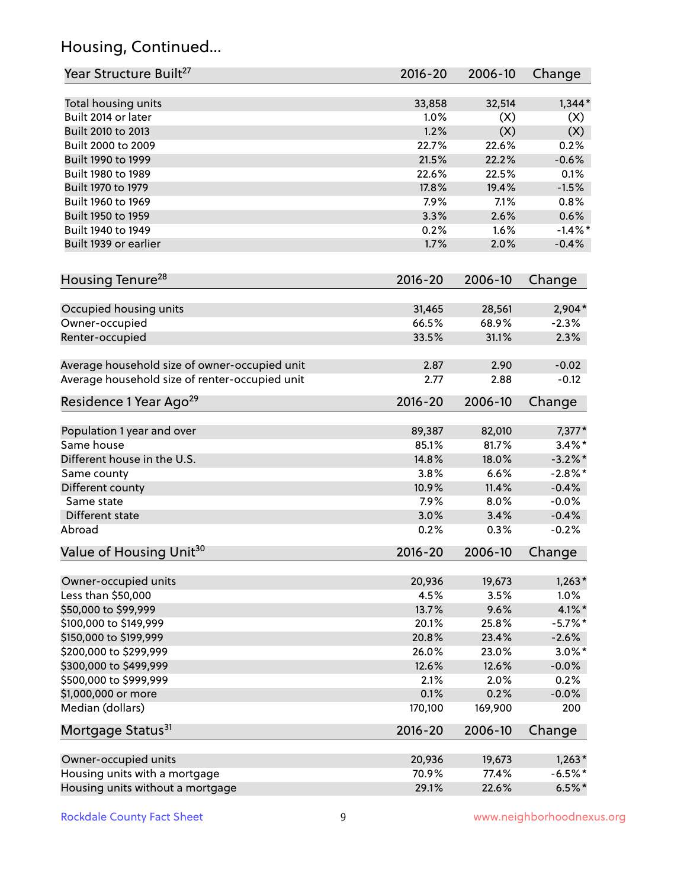## Housing, Continued...

| Year Structure Built <sup>27</sup>             | 2016-20     | 2006-10 | Change     |
|------------------------------------------------|-------------|---------|------------|
| Total housing units                            | 33,858      | 32,514  | $1,344*$   |
| Built 2014 or later                            | 1.0%        | (X)     | (X)        |
| Built 2010 to 2013                             | 1.2%        | (X)     | (X)        |
| Built 2000 to 2009                             | 22.7%       | 22.6%   | 0.2%       |
| Built 1990 to 1999                             | 21.5%       | 22.2%   | $-0.6%$    |
| Built 1980 to 1989                             | 22.6%       | 22.5%   | 0.1%       |
| Built 1970 to 1979                             | 17.8%       | 19.4%   | $-1.5%$    |
| Built 1960 to 1969                             | 7.9%        | 7.1%    | 0.8%       |
| Built 1950 to 1959                             | 3.3%        | 2.6%    | 0.6%       |
| Built 1940 to 1949                             | 0.2%        | 1.6%    | $-1.4\%$ * |
| Built 1939 or earlier                          | 1.7%        | 2.0%    | $-0.4%$    |
| Housing Tenure <sup>28</sup>                   | $2016 - 20$ | 2006-10 | Change     |
|                                                |             |         |            |
| Occupied housing units                         | 31,465      | 28,561  | 2,904*     |
| Owner-occupied                                 | 66.5%       | 68.9%   | $-2.3%$    |
| Renter-occupied                                | 33.5%       | 31.1%   | 2.3%       |
| Average household size of owner-occupied unit  | 2.87        | 2.90    | $-0.02$    |
| Average household size of renter-occupied unit | 2.77        | 2.88    | $-0.12$    |
| Residence 1 Year Ago <sup>29</sup>             | $2016 - 20$ | 2006-10 | Change     |
| Population 1 year and over                     | 89,387      | 82,010  | $7,377*$   |
| Same house                                     | 85.1%       | 81.7%   | $3.4\%$ *  |
| Different house in the U.S.                    | 14.8%       | 18.0%   | $-3.2\%$ * |
| Same county                                    | 3.8%        | 6.6%    | $-2.8\%$ * |
| Different county                               | 10.9%       | 11.4%   | $-0.4%$    |
| Same state                                     | 7.9%        | 8.0%    | $-0.0%$    |
| Different state                                | 3.0%        | 3.4%    | $-0.4%$    |
| Abroad                                         | 0.2%        | 0.3%    | $-0.2%$    |
| Value of Housing Unit <sup>30</sup>            | 2016-20     | 2006-10 | Change     |
|                                                |             |         |            |
| Owner-occupied units                           | 20,936      | 19,673  | $1,263*$   |
| Less than \$50,000                             | 4.5%        | 3.5%    | 1.0%       |
| \$50,000 to \$99,999                           | 13.7%       | 9.6%    | $4.1\%$ *  |
| \$100,000 to \$149,999                         | 20.1%       | 25.8%   | $-5.7%$ *  |
| \$150,000 to \$199,999                         | 20.8%       | 23.4%   | $-2.6%$    |
| \$200,000 to \$299,999                         | 26.0%       | 23.0%   | $3.0\%$ *  |
| \$300,000 to \$499,999                         | 12.6%       | 12.6%   | $-0.0%$    |
| \$500,000 to \$999,999                         | 2.1%        | 2.0%    | 0.2%       |
| \$1,000,000 or more                            | 0.1%        | 0.2%    | $-0.0%$    |
| Median (dollars)                               | 170,100     | 169,900 | 200        |
| Mortgage Status <sup>31</sup>                  | $2016 - 20$ | 2006-10 | Change     |
| Owner-occupied units                           | 20,936      | 19,673  | $1,263*$   |
| Housing units with a mortgage                  | 70.9%       | 77.4%   | $-6.5%$ *  |
| Housing units without a mortgage               | 29.1%       | 22.6%   | $6.5%$ *   |
|                                                |             |         |            |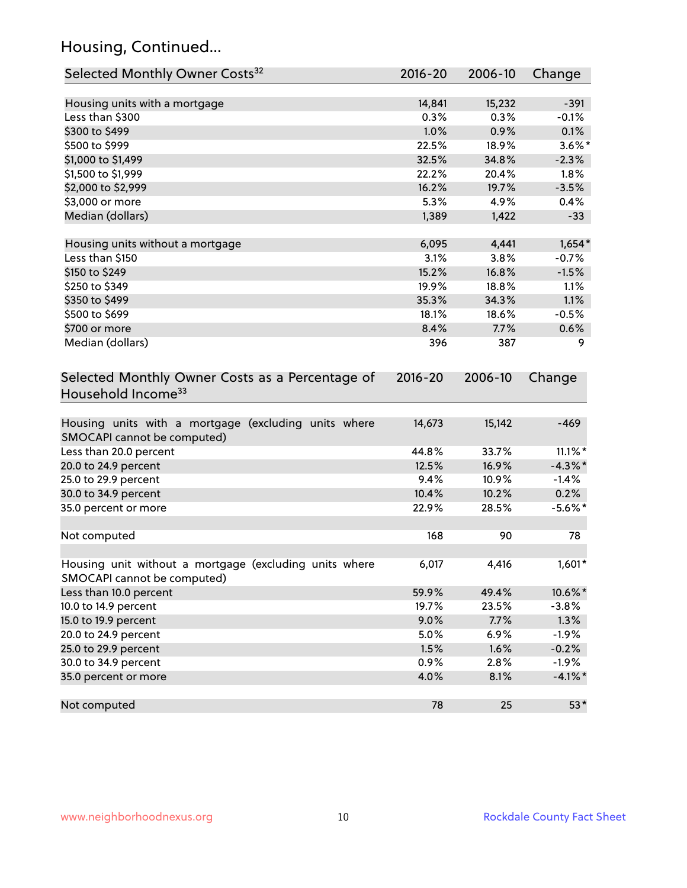## Housing, Continued...

| Selected Monthly Owner Costs <sup>32</sup>                                            | 2016-20     | 2006-10 | Change     |
|---------------------------------------------------------------------------------------|-------------|---------|------------|
| Housing units with a mortgage                                                         | 14,841      | 15,232  | $-391$     |
| Less than \$300                                                                       | 0.3%        | 0.3%    | $-0.1%$    |
| \$300 to \$499                                                                        | 1.0%        | 0.9%    | 0.1%       |
| \$500 to \$999                                                                        | 22.5%       | 18.9%   | $3.6\%$ *  |
| \$1,000 to \$1,499                                                                    | 32.5%       | 34.8%   | $-2.3%$    |
| \$1,500 to \$1,999                                                                    | 22.2%       | 20.4%   | 1.8%       |
| \$2,000 to \$2,999                                                                    | 16.2%       | 19.7%   | $-3.5%$    |
| \$3,000 or more                                                                       | 5.3%        | 4.9%    | 0.4%       |
| Median (dollars)                                                                      | 1,389       | 1,422   | $-33$      |
|                                                                                       |             |         |            |
| Housing units without a mortgage                                                      | 6,095       | 4,441   | $1,654*$   |
| Less than \$150                                                                       | 3.1%        | 3.8%    | $-0.7%$    |
| \$150 to \$249                                                                        | 15.2%       | 16.8%   | $-1.5%$    |
| \$250 to \$349                                                                        | 19.9%       | 18.8%   | 1.1%       |
| \$350 to \$499                                                                        | 35.3%       | 34.3%   | 1.1%       |
| \$500 to \$699                                                                        | 18.1%       | 18.6%   | $-0.5%$    |
| \$700 or more                                                                         | 8.4%        | 7.7%    | 0.6%       |
| Median (dollars)                                                                      | 396         | 387     | 9          |
| Selected Monthly Owner Costs as a Percentage of<br>Household Income <sup>33</sup>     | $2016 - 20$ | 2006-10 | Change     |
| Housing units with a mortgage (excluding units where<br>SMOCAPI cannot be computed)   | 14,673      | 15,142  | $-469$     |
| Less than 20.0 percent                                                                | 44.8%       | 33.7%   | $11.1\%$ * |
| 20.0 to 24.9 percent                                                                  | 12.5%       | 16.9%   | $-4.3\%$ * |
| 25.0 to 29.9 percent                                                                  | 9.4%        | 10.9%   | $-1.4%$    |
| 30.0 to 34.9 percent                                                                  | 10.4%       | 10.2%   | 0.2%       |
| 35.0 percent or more                                                                  | 22.9%       | 28.5%   | $-5.6\%$ * |
| Not computed                                                                          | 168         | 90      | 78         |
| Housing unit without a mortgage (excluding units where<br>SMOCAPI cannot be computed) | 6,017       | 4,416   | $1,601*$   |
| Less than 10.0 percent                                                                | 59.9%       | 49.4%   | 10.6%*     |
| 10.0 to 14.9 percent                                                                  | 19.7%       | 23.5%   | $-3.8%$    |
| 15.0 to 19.9 percent                                                                  | 9.0%        | 7.7%    | 1.3%       |
| 20.0 to 24.9 percent                                                                  | 5.0%        | 6.9%    | $-1.9%$    |
| 25.0 to 29.9 percent                                                                  | 1.5%        | 1.6%    | $-0.2%$    |
| 30.0 to 34.9 percent                                                                  | 0.9%        | 2.8%    | $-1.9%$    |
| 35.0 percent or more                                                                  | 4.0%        | 8.1%    | $-4.1\%$ * |
| Not computed                                                                          | 78          | 25      | $53*$      |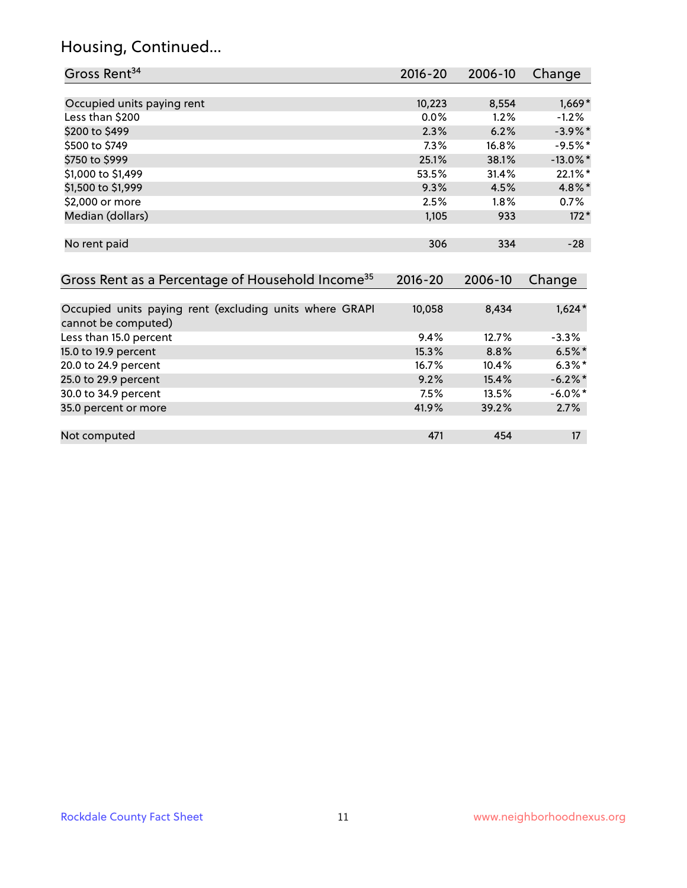## Housing, Continued...

| Gross Rent <sup>34</sup>                                                       | $2016 - 20$ | 2006-10 | Change      |
|--------------------------------------------------------------------------------|-------------|---------|-------------|
|                                                                                |             |         |             |
| Occupied units paying rent                                                     | 10,223      | 8,554   | $1,669*$    |
| Less than \$200                                                                | 0.0%        | 1.2%    | $-1.2%$     |
| \$200 to \$499                                                                 | 2.3%        | 6.2%    | $-3.9\%$ *  |
| \$500 to \$749                                                                 | 7.3%        | 16.8%   | $-9.5%$ *   |
| \$750 to \$999                                                                 | 25.1%       | 38.1%   | $-13.0\%$ * |
| \$1,000 to \$1,499                                                             | 53.5%       | 31.4%   | 22.1%*      |
| \$1,500 to \$1,999                                                             | 9.3%        | 4.5%    | 4.8%*       |
| \$2,000 or more                                                                | 2.5%        | 1.8%    | 0.7%        |
| Median (dollars)                                                               | 1,105       | 933     | $172*$      |
| No rent paid                                                                   | 306         | 334     | $-28$       |
| Gross Rent as a Percentage of Household Income <sup>35</sup>                   | $2016 - 20$ | 2006-10 | Change      |
| Occupied units paying rent (excluding units where GRAPI<br>cannot be computed) | 10,058      | 8,434   | $1,624*$    |
| Less than 15.0 percent                                                         | 9.4%        | 12.7%   | $-3.3%$     |
| 15.0 to 19.9 percent                                                           | 15.3%       | 8.8%    | $6.5%$ *    |
| 20.0 to 24.9 percent                                                           | 16.7%       | 10.4%   | $6.3\%$ *   |
| 25.0 to 29.9 percent                                                           | 9.2%        | 15.4%   | $-6.2\%$ *  |
| 30.0 to 34.9 percent                                                           | 7.5%        | 13.5%   | $-6.0\%$ *  |
| 35.0 percent or more                                                           | 41.9%       | 39.2%   | 2.7%        |
| Not computed                                                                   | 471         | 454     | 17          |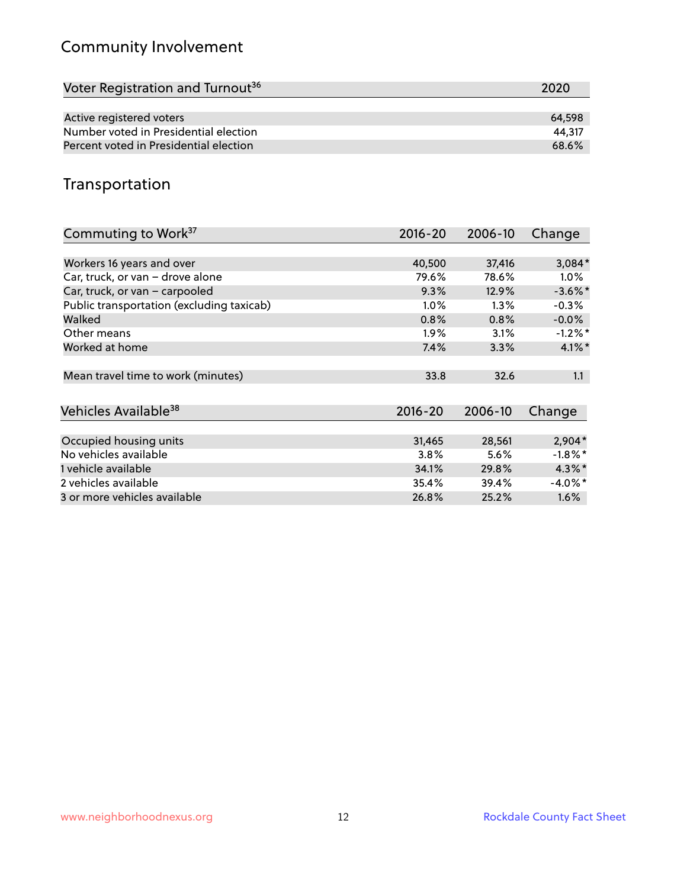## Community Involvement

| Voter Registration and Turnout <sup>36</sup> | 2020   |
|----------------------------------------------|--------|
|                                              |        |
| Active registered voters                     | 64.598 |
| Number voted in Presidential election        | 44.317 |
| Percent voted in Presidential election       | 68.6%  |

## Transportation

| Commuting to Work <sup>37</sup>           | 2016-20     | 2006-10 | Change     |
|-------------------------------------------|-------------|---------|------------|
|                                           |             |         |            |
| Workers 16 years and over                 | 40,500      | 37,416  | $3,084*$   |
| Car, truck, or van - drove alone          | 79.6%       | 78.6%   | $1.0\%$    |
| Car, truck, or van - carpooled            | 9.3%        | 12.9%   | $-3.6\%$ * |
| Public transportation (excluding taxicab) | $1.0\%$     | $1.3\%$ | $-0.3%$    |
| Walked                                    | 0.8%        | 0.8%    | $-0.0%$    |
| Other means                               | $1.9\%$     | 3.1%    | $-1.2%$ *  |
| Worked at home                            | 7.4%        | 3.3%    | $4.1\%$ *  |
| Mean travel time to work (minutes)        | 33.8        | 32.6    | 1.1        |
| Vehicles Available <sup>38</sup>          | $2016 - 20$ | 2006-10 | Change     |
| Occupied housing units                    | 31,465      | 28,561  | $2,904*$   |
| No vehicles available                     | 3.8%        | 5.6%    | $-1.8\%$ * |
| 1 vehicle available                       | 34.1%       | 29.8%   | $4.3\%$ *  |
| 2 vehicles available                      | 35.4%       | 39.4%   | $-4.0\%$ * |
| 3 or more vehicles available              | 26.8%       | 25.2%   | 1.6%       |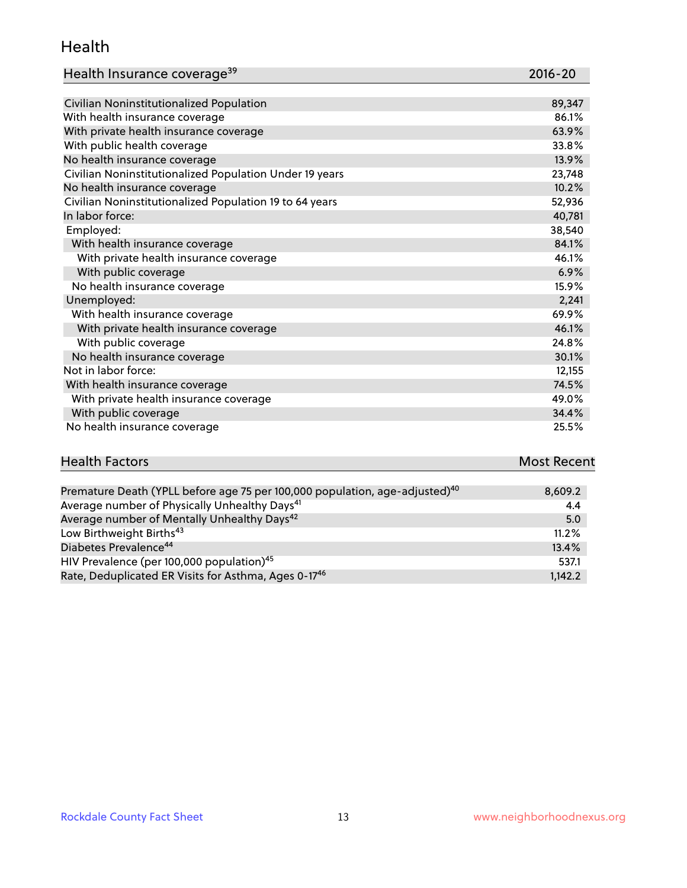#### Health

| Health Insurance coverage <sup>39</sup> | 2016-20 |
|-----------------------------------------|---------|
|-----------------------------------------|---------|

| Civilian Noninstitutionalized Population                | 89,347 |
|---------------------------------------------------------|--------|
| With health insurance coverage                          | 86.1%  |
| With private health insurance coverage                  | 63.9%  |
| With public health coverage                             | 33.8%  |
| No health insurance coverage                            | 13.9%  |
| Civilian Noninstitutionalized Population Under 19 years | 23,748 |
| No health insurance coverage                            | 10.2%  |
| Civilian Noninstitutionalized Population 19 to 64 years | 52,936 |
| In labor force:                                         | 40,781 |
| Employed:                                               | 38,540 |
| With health insurance coverage                          | 84.1%  |
| With private health insurance coverage                  | 46.1%  |
| With public coverage                                    | 6.9%   |
| No health insurance coverage                            | 15.9%  |
| Unemployed:                                             | 2,241  |
| With health insurance coverage                          | 69.9%  |
| With private health insurance coverage                  | 46.1%  |
| With public coverage                                    | 24.8%  |
| No health insurance coverage                            | 30.1%  |
| Not in labor force:                                     | 12,155 |
| With health insurance coverage                          | 74.5%  |
| With private health insurance coverage                  | 49.0%  |
| With public coverage                                    | 34.4%  |
| No health insurance coverage                            | 25.5%  |

# **Health Factors Most Recent** And The Control of the Control of The Control of The Control of The Control of The Control of The Control of The Control of The Control of The Control of The Control of The Control of The Contr

| Premature Death (YPLL before age 75 per 100,000 population, age-adjusted) <sup>40</sup> | 8,609.2 |
|-----------------------------------------------------------------------------------------|---------|
| Average number of Physically Unhealthy Days <sup>41</sup>                               | 4.4     |
| Average number of Mentally Unhealthy Days <sup>42</sup>                                 | 5.0     |
| Low Birthweight Births <sup>43</sup>                                                    | 11.2%   |
| Diabetes Prevalence <sup>44</sup>                                                       | 13.4%   |
| HIV Prevalence (per 100,000 population) <sup>45</sup>                                   | 537.1   |
| Rate, Deduplicated ER Visits for Asthma, Ages 0-17 <sup>46</sup>                        | 1.142.2 |